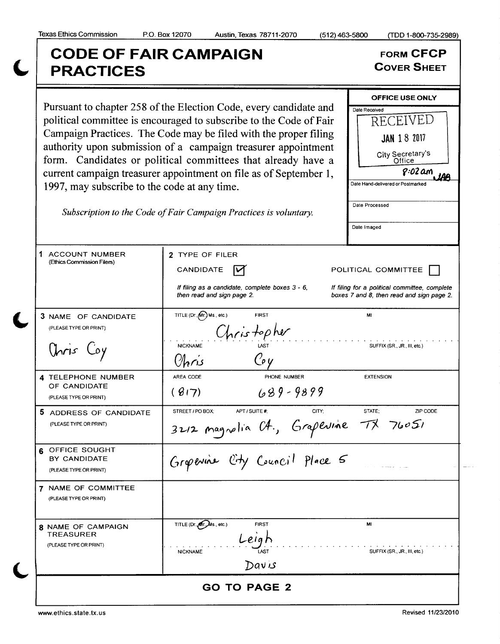## Texas Ethics Commission P.O. Box 12070 Austin, Texas 78711-2070 (512) 463-5800 (TDD 1-800-735-2989) CODE OF FAIR CAMPAIGN<br>
REACTICES<br>
COVER SHEET **PRACTICES** OFFICE USE ONLY Pursuant to chapter 258 of the Election Code, every candidate and political committee is encouraged to subscribe to the Code of Fair  $\sqrt{\frac{\text{Date Received}}{\text{RECEIVED}}}$ political committee is encouraged to subscribe to the Code of Fair Campaign Practices. The Code may be filed with the proper filing  $\vert$   $\vert$  JAN 18 2017 authority upon submission of <sup>a</sup> campaign treasurer appointment City Secretary's form. Candidates or political committees that already have <sup>a</sup> **Office** current campaign treasurer appointment on file as of September 1,  $\sqrt{0.2 \text{ am}}$ iAA Date Hand-delivered or Postmarked 1997, may subscribe to the code at any time. Date Processed Subscription to the Code of Fair Campaign Practices is voluntary. Date Imaged 1 ACCOUNT NUMBER 2 TYPE OF FILER Ethics Commission Filers)  $C$ ANDIDATE  $\overrightarrow{V}$  POLITICAL COMMITTEE If filing as a candidate, complete boxes  $3 - 6$ , If filing for a political committee, complete then read and sign page 2. boxes 7 and 8, then read and sign page 2. 3 NAME OF CANDIDATE TITLE (Dr., Mr.) Ms., etc.) FIRST FIRST (PLEASE TYPE OR PRINT)  $C_{\text{NCS}} + \frac{1}{2} \rho \hbar \nu$ Onis Coy Mickname LAST SUFFIX(SR., JR., III, etc.) Q 4 TELEPHONE NUMBER | AREA CODE PHONE NUMBER EXTENSION OF CANDIDATE  $(817)$   $689 - 9899$ PLEASE TYPE OR PRINT) **5** ADDRESS OF CANDIDATE STREET/POBOX; APT/SUITE#; CITY; STATE; STATE; ZIPCODE PLEASETYPEORPRINT) 3212 magnolia  $C4$ , Grapevine  $T\vec{x}$  760 **6 OFFICE SOUGHT** Grapevine City Council Place 5 BY CANDIDATE r (PLEASE TYPE OR PRINT) 7 NAME OF COMMITTEE PLEASETYPE OR PRINT) 8 NAME OF CAMPAIGN TITLE (Dr. of CMS., etc.) FIRST FIRST TREASURER eia r PLEASE TYPE OR PRINT) NICKNAME LAST LAST SUFFIX (SR., JR., III, etc.) ى Dav

GO TO PAGE 2